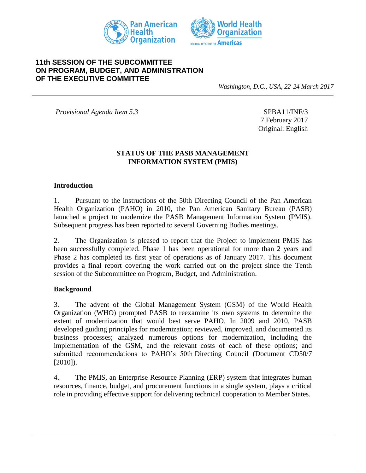



## **11th SESSION OF THE SUBCOMMITTEE ON PROGRAM, BUDGET, AND ADMINISTRATION OF THE EXECUTIVE COMMITTEE**

*Washington, D.C., USA, 22-24 March 2017*

*Provisional Agenda Item 5.3* SPBA11/INF/3

7 February 2017 Original: English

### **STATUS OF THE PASB MANAGEMENT INFORMATION SYSTEM (PMIS)**

### **Introduction**

1. Pursuant to the instructions of the 50th Directing Council of the Pan American Health Organization (PAHO) in 2010, the Pan American Sanitary Bureau (PASB) launched a project to modernize the PASB Management Information System (PMIS). Subsequent progress has been reported to several Governing Bodies meetings.

2. The Organization is pleased to report that the Project to implement PMIS has been successfully completed. Phase 1 has been operational for more than 2 years and Phase 2 has completed its first year of operations as of January 2017. This document provides a final report covering the work carried out on the project since the Tenth session of the Subcommittee on Program, Budget, and Administration.

#### **Background**

3. The advent of the Global Management System (GSM) of the World Health Organization (WHO) prompted PASB to reexamine its own systems to determine the extent of modernization that would best serve PAHO. In 2009 and 2010, PASB developed guiding principles for modernization; reviewed, improved, and documented its business processes; analyzed numerous options for modernization, including the implementation of the GSM, and the relevant costs of each of these options; and submitted recommendations to PAHO's 50th Directing Council (Document CD50/7 [2010]).

4. The PMIS, an Enterprise Resource Planning (ERP) system that integrates human resources, finance, budget, and procurement functions in a single system, plays a critical role in providing effective support for delivering technical cooperation to Member States.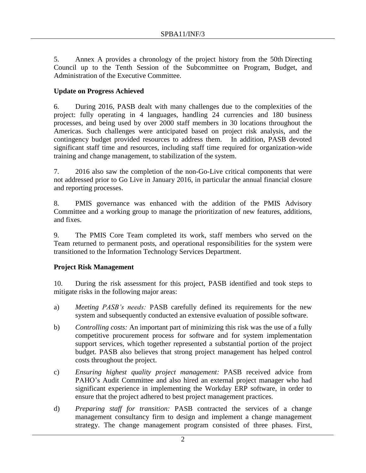5. Annex A provides a chronology of the project history from the 50th Directing Council up to the Tenth Session of the Subcommittee on Program, Budget, and Administration of the Executive Committee.

### **Update on Progress Achieved**

6. During 2016, PASB dealt with many challenges due to the complexities of the project: fully operating in 4 languages, handling 24 currencies and 180 business processes, and being used by over 2000 staff members in 30 locations throughout the Americas. Such challenges were anticipated based on project risk analysis, and the contingency budget provided resources to address them. In addition, PASB devoted significant staff time and resources, including staff time required for organization-wide training and change management, to stabilization of the system.

7. 2016 also saw the completion of the non-Go-Live critical components that were not addressed prior to Go Live in January 2016, in particular the annual financial closure and reporting processes.

8. PMIS governance was enhanced with the addition of the PMIS Advisory Committee and a working group to manage the prioritization of new features, additions, and fixes.

9. The PMIS Core Team completed its work, staff members who served on the Team returned to permanent posts, and operational responsibilities for the system were transitioned to the Information Technology Services Department.

## **Project Risk Management**

10. During the risk assessment for this project, PASB identified and took steps to mitigate risks in the following major areas:

- a) *Meeting PASB's needs:* PASB carefully defined its requirements for the new system and subsequently conducted an extensive evaluation of possible software.
- b) *Controlling costs:* An important part of minimizing this risk was the use of a fully competitive procurement process for software and for system implementation support services, which together represented a substantial portion of the project budget. PASB also believes that strong project management has helped control costs throughout the project.
- c) *Ensuring highest quality project management:* PASB received advice from PAHO's Audit Committee and also hired an external project manager who had significant experience in implementing the Workday ERP software, in order to ensure that the project adhered to best project management practices.
- d) *Preparing staff for transition:* PASB contracted the services of a change management consultancy firm to design and implement a change management strategy. The change management program consisted of three phases. First,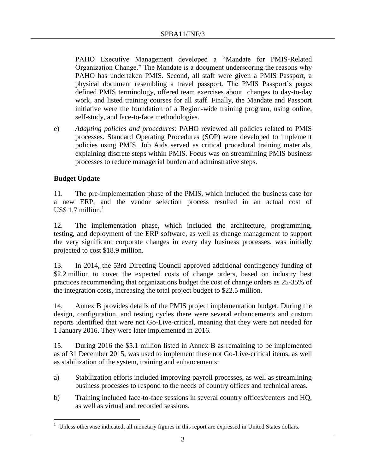PAHO Executive Management developed a "Mandate for PMIS-Related Organization Change." The Mandate is a document underscoring the reasons why PAHO has undertaken PMIS. Second, all staff were given a PMIS Passport, a physical document resembling a travel passport. The PMIS Passport's pages defined PMIS terminology, offered team exercises about changes to day-to-day work, and listed training courses for all staff. Finally, the Mandate and Passport initiative were the foundation of a Region-wide training program, using online, self-study, and face-to-face methodologies.

e) *Adapting policies and procedures*: PAHO reviewed all policies related to PMIS processes. Standard Operating Procedures (SOP) were developed to implement policies using PMIS. Job Aids served as critical procedural training materials, explaining discrete steps within PMIS. Focus was on streamlining PMIS business processes to reduce managerial burden and adminstrative steps.

## **Budget Update**

 $\overline{a}$ 

11. The pre-implementation phase of the PMIS, which included the business case for a new ERP, and the vendor selection process resulted in an actual cost of US\$ 1.7 million. $<sup>1</sup>$ </sup>

12. The implementation phase, which included the architecture, programming, testing, and deployment of the ERP software, as well as change management to support the very significant corporate changes in every day business processes, was initially projected to cost \$18.9 million.

13. In 2014, the 53rd Directing Council approved additional contingency funding of \$2.2 million to cover the expected costs of change orders, based on industry best practices recommending that organizations budget the cost of change orders as 25-35% of the integration costs, increasing the total project budget to \$22.5 million.

14. Annex B provides details of the PMIS project implementation budget. During the design, configuration, and testing cycles there were several enhancements and custom reports identified that were not Go-Live-critical, meaning that they were not needed for 1 January 2016. They were later implemented in 2016.

15. During 2016 the \$5.1 million listed in Annex B as remaining to be implemented as of 31 December 2015, was used to implement these not Go-Live-critical items, as well as stabilization of the system, training and enhancements:

- a) Stabilization efforts included improving payroll processes, as well as streamlining business processes to respond to the needs of country offices and technical areas.
- b) Training included face-to-face sessions in several country offices/centers and HQ, as well as virtual and recorded sessions.

<sup>&</sup>lt;sup>1</sup> Unless otherwise indicated, all monetary figures in this report are expressed in United States dollars.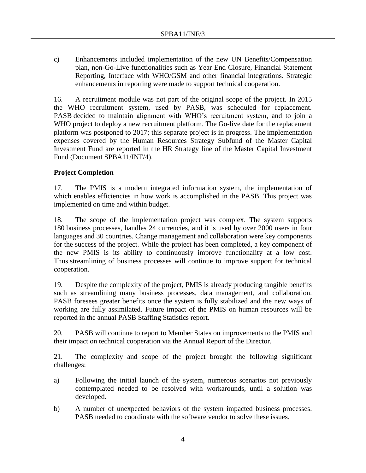c) Enhancements included implementation of the new UN Benefits/Compensation plan, non-Go-Live functionalities such as Year End Closure, Financial Statement Reporting, Interface with WHO/GSM and other financial integrations. Strategic enhancements in reporting were made to support technical cooperation.

16. A recruitment module was not part of the original scope of the project. In 2015 the WHO recruitment system, used by PASB, was scheduled for replacement. PASB decided to maintain alignment with WHO's recruitment system, and to join a WHO project to deploy a new recruitment platform. The Go-live date for the replacement platform was postponed to 2017; this separate project is in progress. The implementation expenses covered by the Human Resources Strategy Subfund of the Master Capital Investment Fund are reported in the HR Strategy line of the Master Capital Investment Fund (Document SPBA11/INF/4).

## **Project Completion**

17. The PMIS is a modern integrated information system, the implementation of which enables efficiencies in how work is accomplished in the PASB. This project was implemented on time and within budget.

18. The scope of the implementation project was complex. The system supports 180 business processes, handles 24 currencies, and it is used by over 2000 users in four languages and 30 countries. Change management and collaboration were key components for the success of the project. While the project has been completed, a key component of the new PMIS is its ability to continuously improve functionality at a low cost. Thus streamlining of business processes will continue to improve support for technical cooperation.

19. Despite the complexity of the project, PMIS is already producing tangible benefits such as streamlining many business processes, data management, and collaboration. PASB foresees greater benefits once the system is fully stabilized and the new ways of working are fully assimilated. Future impact of the PMIS on human resources will be reported in the annual PASB Staffing Statistics report.

20. PASB will continue to report to Member States on improvements to the PMIS and their impact on technical cooperation via the Annual Report of the Director.

21. The complexity and scope of the project brought the following significant challenges:

- a) Following the initial launch of the system, numerous scenarios not previously contemplated needed to be resolved with workarounds, until a solution was developed.
- b) A number of unexpected behaviors of the system impacted business processes. PASB needed to coordinate with the software vendor to solve these issues.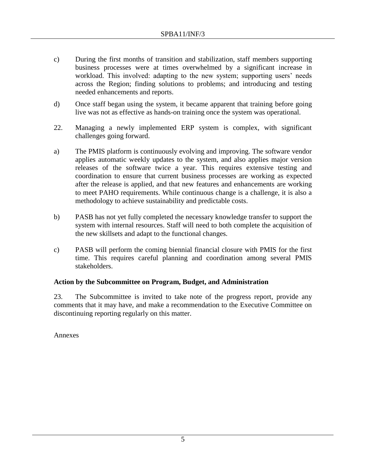- c) During the first months of transition and stabilization, staff members supporting business processes were at times overwhelmed by a significant increase in workload. This involved: adapting to the new system; supporting users' needs across the Region; finding solutions to problems; and introducing and testing needed enhancements and reports.
- d) Once staff began using the system, it became apparent that training before going live was not as effective as hands-on training once the system was operational.
- 22. Managing a newly implemented ERP system is complex, with significant challenges going forward.
- a) The PMIS platform is continuously evolving and improving. The software vendor applies automatic weekly updates to the system, and also applies major version releases of the software twice a year. This requires extensive testing and coordination to ensure that current business processes are working as expected after the release is applied, and that new features and enhancements are working to meet PAHO requirements. While continuous change is a challenge, it is also a methodology to achieve sustainability and predictable costs.
- b) PASB has not yet fully completed the necessary knowledge transfer to support the system with internal resources. Staff will need to both complete the acquisition of the new skillsets and adapt to the functional changes.
- c) PASB will perform the coming biennial financial closure with PMIS for the first time. This requires careful planning and coordination among several PMIS stakeholders.

### **Action by the Subcommittee on Program, Budget, and Administration**

23. The Subcommittee is invited to take note of the progress report, provide any comments that it may have, and make a recommendation to the Executive Committee on discontinuing reporting regularly on this matter.

Annexes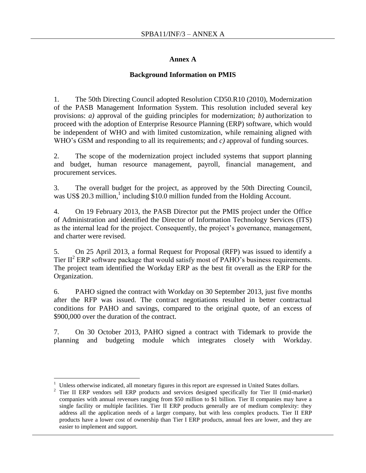### **Annex A**

### **Background Information on PMIS**

1. The 50th Directing Council adopted Resolution CD50.R10 (2010), Modernization of the PASB Management Information System. This resolution included several key provisions: *a)* approval of the guiding principles for modernization; *b)* authorization to proceed with the adoption of Enterprise Resource Planning (ERP) software, which would be independent of WHO and with limited customization, while remaining aligned with WHO's GSM and responding to all its requirements; and *c)* approval of funding sources.

2. The scope of the modernization project included systems that support planning and budget, human resource management, payroll, financial management, and procurement services.

3. The overall budget for the project, as approved by the 50th Directing Council, was US\$ 20.3 million, $\frac{1}{1}$  including \$10.0 million funded from the Holding Account.

4. On 19 February 2013, the PASB Director put the PMIS project under the Office of Administration and identified the Director of Information Technology Services (ITS) as the internal lead for the project. Consequently, the project's governance, management, and charter were revised.

5. On 25 April 2013, a formal Request for Proposal (RFP) was issued to identify a Tier  $II^2$  ERP software package that would satisfy most of PAHO's business requirements. The project team identified the Workday ERP as the best fit overall as the ERP for the Organization.

6. PAHO signed the contract with Workday on 30 September 2013, just five months after the RFP was issued. The contract negotiations resulted in better contractual conditions for PAHO and savings, compared to the original quote, of an excess of \$900,000 over the duration of the contract.

7. On 30 October 2013, PAHO signed a contract with Tidemark to provide the planning and budgeting module which integrates closely with Workday.

 $\overline{a}$ 

<sup>&</sup>lt;sup>1</sup> Unless otherwise indicated, all monetary figures in this report are expressed in United States dollars.<br><sup>2</sup> Tier II ERP vendors sell ERP products and services designed specifically for Tier II (mid-ma

<sup>2</sup> Tier II ERP vendors sell ERP products and services designed specifically for Tier II (mid-market) companies with annual revenues ranging from \$50 million to \$1 billion. Tier II companies may have a single facility or multiple facilities. Tier II ERP products generally are of medium complexity: they address all the application needs of a larger company, but with less complex products. Tier II ERP products have a lower cost of ownership than Tier I ERP products, annual fees are lower, and they are easier to implement and support.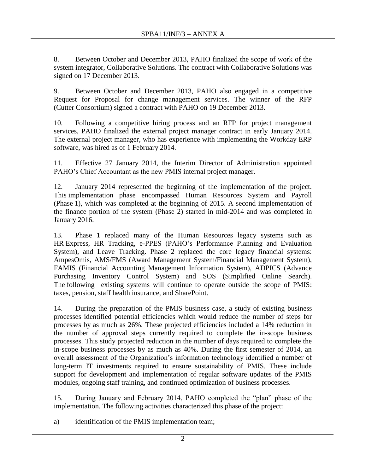8. Between October and December 2013, PAHO finalized the scope of work of the system integrator, Collaborative Solutions. The contract with Collaborative Solutions was signed on 17 December 2013.

9. Between October and December 2013, PAHO also engaged in a competitive Request for Proposal for change management services. The winner of the RFP (Cutter Consortium) signed a contract with PAHO on 19 December 2013.

10. Following a competitive hiring process and an RFP for project management services, PAHO finalized the external project manager contract in early January 2014. The external project manager, who has experience with implementing the Workday ERP software, was hired as of 1 February 2014.

11. Effective 27 January 2014, the Interim Director of Administration appointed PAHO's Chief Accountant as the new PMIS internal project manager.

12. January 2014 represented the beginning of the implementation of the project. This implementation phase encompassed Human Resources System and Payroll (Phase 1), which was completed at the beginning of 2015. A second implementation of the finance portion of the system (Phase 2) started in mid-2014 and was completed in January 2016.

13. Phase 1 replaced many of the Human Resources legacy systems such as HR Express, HR Tracking, e-PPES (PAHO's Performance Planning and Evaluation System), and Leave Tracking. Phase 2 replaced the core legacy financial systems: AmpesOmis, AMS/FMS (Award Management System/Financial Management System), FAMIS (Financial Accounting Management Information System), ADPICS (Advance Purchasing Inventory Control System) and SOS (Simplified Online Search). The following existing systems will continue to operate outside the scope of PMIS: taxes, pension, staff health insurance, and SharePoint.

14. During the preparation of the PMIS business case, a study of existing business processes identified potential efficiencies which would reduce the number of steps for processes by as much as 26%. These projected efficiencies included a 14% reduction in the number of approval steps currently required to complete the in-scope business processes. This study projected reduction in the number of days required to complete the in-scope business processes by as much as 40%. During the first semester of 2014, an overall assessment of the Organization's information technology identified a number of long-term IT investments required to ensure sustainability of PMIS. These include support for development and implementation of regular software updates of the PMIS modules, ongoing staff training, and continued optimization of business processes.

15. During January and February 2014, PAHO completed the "plan" phase of the implementation. The following activities characterized this phase of the project:

a) identification of the PMIS implementation team;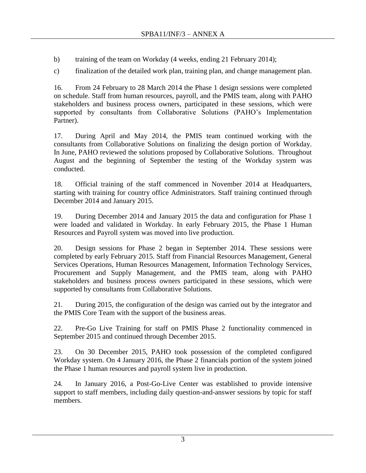b) training of the team on Workday (4 weeks, ending 21 February 2014);

c) finalization of the detailed work plan, training plan, and change management plan.

16. From 24 February to 28 March 2014 the Phase 1 design sessions were completed on schedule. Staff from human resources, payroll, and the PMIS team, along with PAHO stakeholders and business process owners, participated in these sessions, which were supported by consultants from Collaborative Solutions (PAHO's Implementation Partner).

17. During April and May 2014, the PMIS team continued working with the consultants from Collaborative Solutions on finalizing the design portion of Workday. In June, PAHO reviewed the solutions proposed by Collaborative Solutions. Throughout August and the beginning of September the testing of the Workday system was conducted.

18. Official training of the staff commenced in November 2014 at Headquarters, starting with training for country office Administrators. Staff training continued through December 2014 and January 2015.

19. During December 2014 and January 2015 the data and configuration for Phase 1 were loaded and validated in Workday. In early February 2015, the Phase 1 Human Resources and Payroll system was moved into live production.

20. Design sessions for Phase 2 began in September 2014. These sessions were completed by early February 2015. Staff from Financial Resources Management, General Services Operations, Human Resources Management, Information Technology Services, Procurement and Supply Management, and the PMIS team, along with PAHO stakeholders and business process owners participated in these sessions, which were supported by consultants from Collaborative Solutions.

21. During 2015, the configuration of the design was carried out by the integrator and the PMIS Core Team with the support of the business areas.

22. Pre-Go Live Training for staff on PMIS Phase 2 functionality commenced in September 2015 and continued through December 2015.

23. On 30 December 2015, PAHO took possession of the completed configured Workday system. On 4 January 2016, the Phase 2 financials portion of the system joined the Phase 1 human resources and payroll system live in production.

24. In January 2016, a Post-Go-Live Center was established to provide intensive support to staff members, including daily question-and-answer sessions by topic for staff members.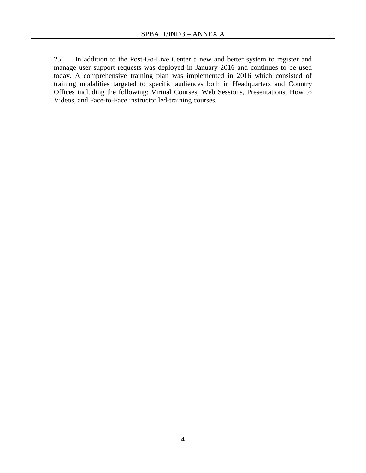25. In addition to the Post-Go-Live Center a new and better system to register and manage user support requests was deployed in January 2016 and continues to be used today. A comprehensive training plan was implemented in 2016 which consisted of training modalities targeted to specific audiences both in Headquarters and Country Offices including the following: Virtual Courses, Web Sessions, Presentations, How to Videos, and Face-to-Face instructor led-training courses.